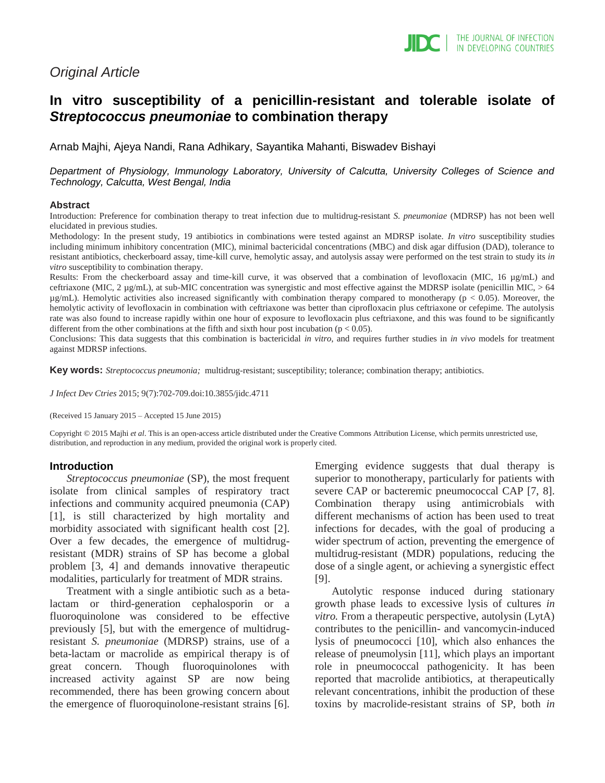# *Original Article*

# **In vitro susceptibility of a penicillin-resistant and tolerable isolate of**  *Streptococcus pneumoniae* **to combination therapy**

Arnab Majhi, Ajeya Nandi, Rana Adhikary, Sayantika Mahanti, Biswadev Bishayi

*Department of Physiology, Immunology Laboratory, University of Calcutta, University Colleges of Science and Technology, Calcutta, West Bengal, India*

#### **Abstract**

Introduction: Preference for combination therapy to treat infection due to multidrug-resistant *S. pneumoniae* (MDRSP) has not been well elucidated in previous studies.

Methodology: In the present study, 19 antibiotics in combinations were tested against an MDRSP isolate. *In vitro* susceptibility studies including minimum inhibitory concentration (MIC), minimal bactericidal concentrations (MBC) and disk agar diffusion (DAD), tolerance to resistant antibiotics, checkerboard assay, time-kill curve, hemolytic assay, and autolysis assay were performed on the test strain to study its *in vitro* susceptibility to combination therapy.

Results: From the checkerboard assay and time-kill curve, it was observed that a combination of levofloxacin (MIC, 16 µg/mL) and ceftriaxone (MIC, 2 µg/mL), at sub-MIC concentration was synergistic and most effective against the MDRSP isolate (penicillin MIC, > 64  $\mu$ g/mL). Hemolytic activities also increased significantly with combination therapy compared to monotherapy ( $p < 0.05$ ). Moreover, the hemolytic activity of levofloxacin in combination with ceftriaxone was better than ciprofloxacin plus ceftriaxone or cefepime. The autolysis rate was also found to increase rapidly within one hour of exposure to levofloxacin plus ceftriaxone, and this was found to be significantly different from the other combinations at the fifth and sixth hour post incubation ( $p < 0.05$ ).

Conclusions: This data suggests that this combination is bactericidal *in vitro*, and requires further studies in *in vivo* models for treatment against MDRSP infections.

**Key words:** *Streptococcus pneumonia;* multidrug-resistant; susceptibility; tolerance; combination therapy; antibiotics.

*J Infect Dev Ctries* 2015; 9(7):702-709*.*doi:10.3855/jidc.4711

(Received 15 January 2015 – Accepted 15 June 2015)

Copyright © 2015 Majhi *et al*. This is an open-access article distributed under the Creative Commons Attribution License, which permits unrestricted use, distribution, and reproduction in any medium, provided the original work is properly cited.

#### **Introduction**

*Streptococcus pneumoniae* (SP), the most frequent isolate from clinical samples of respiratory tract infections and community acquired pneumonia (CAP) [1], is still characterized by high mortality and morbidity associated with significant health cost [2]. Over a few decades, the emergence of multidrugresistant (MDR) strains of SP has become a global problem [3, 4] and demands innovative therapeutic modalities, particularly for treatment of MDR strains.

Treatment with a single antibiotic such as a betalactam or third-generation cephalosporin or a fluoroquinolone was considered to be effective previously [5], but with the emergence of multidrugresistant *S. pneumoniae* (MDRSP) strains, use of a beta-lactam or macrolide as empirical therapy is of great concern. Though fluoroquinolones with increased activity against SP are now being recommended, there has been growing concern about the emergence of fluoroquinolone-resistant strains [6]. Emerging evidence suggests that dual therapy is superior to monotherapy, particularly for patients with severe CAP or bacteremic pneumococcal CAP [7, 8]. Combination therapy using antimicrobials with different mechanisms of action has been used to treat infections for decades, with the goal of producing a wider spectrum of action, preventing the emergence of multidrug-resistant (MDR) populations, reducing the dose of a single agent, or achieving a synergistic effect [9].

Autolytic response induced during stationary growth phase leads to excessive lysis of cultures *in vitro.* From a therapeutic perspective, autolysin (LytA) contributes to the penicillin- and vancomycin-induced lysis of pneumococci [10], which also enhances the release of pneumolysin [11], which plays an important role in pneumococcal pathogenicity. It has been reported that macrolide antibiotics, at therapeutically relevant concentrations, inhibit the production of these toxins by macrolide-resistant strains of SP, both *in*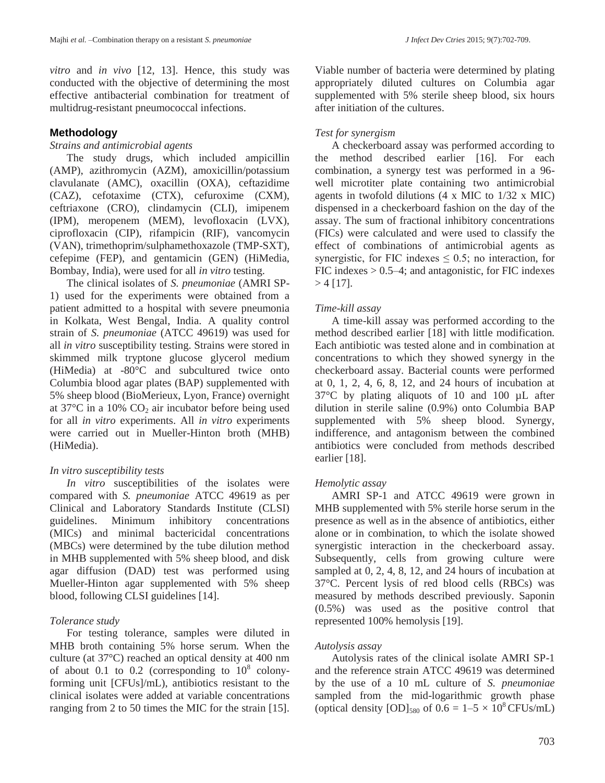*vitro* and *in vivo* [12, 13]. Hence, this study was conducted with the objective of determining the most effective antibacterial combination for treatment of multidrug-resistant pneumococcal infections.

# **Methodology**

### *Strains and antimicrobial agents*

The study drugs, which included ampicillin (AMP), azithromycin (AZM), amoxicillin/potassium clavulanate (AMC), oxacillin (OXA), ceftazidime (CAZ), cefotaxime (CTX), cefuroxime (CXM), ceftriaxone (CRO), clindamycin (CLI), imipenem (IPM), meropenem (MEM), levofloxacin (LVX), ciprofloxacin (CIP), rifampicin (RIF), vancomycin (VAN), trimethoprim/sulphamethoxazole (TMP-SXT), cefepime (FEP), and gentamicin (GEN) (HiMedia, Bombay, India), were used for all *in vitro* testing.

The clinical isolates of *S. pneumoniae* (AMRI SP-1) used for the experiments were obtained from a patient admitted to a hospital with severe pneumonia in Kolkata, West Bengal, India. A quality control strain of *S. pneumoniae* (ATCC 49619) was used for all *in vitro* susceptibility testing. Strains were stored in skimmed milk tryptone glucose glycerol medium (HiMedia) at -80°C and subcultured twice onto Columbia blood agar plates (BAP) supplemented with 5% sheep blood (BioMerieux, Lyon, France) overnight at  $37^{\circ}$ C in a 10% CO<sub>2</sub> air incubator before being used for all *in vitro* experiments. All *in vitro* experiments were carried out in Mueller-Hinton broth (MHB) (HiMedia).

# *In vitro susceptibility tests*

*In vitro* susceptibilities of the isolates were compared with *S. pneumoniae* ATCC 49619 as per Clinical and Laboratory Standards Institute (CLSI) guidelines. Minimum inhibitory concentrations (MICs) and minimal bactericidal concentrations (MBCs) were determined by the tube dilution method in MHB supplemented with 5% sheep blood, and disk agar diffusion (DAD) test was performed using Mueller-Hinton agar supplemented with 5% sheep blood, following CLSI guidelines [14].

# *Tolerance study*

For testing tolerance, samples were diluted in MHB broth containing 5% horse serum. When the culture (at 37°C) reached an optical density at 400 nm of about 0.1 to 0.2 (corresponding to  $10^8$  colonyforming unit [CFUs]/mL), antibiotics resistant to the clinical isolates were added at variable concentrations ranging from 2 to 50 times the MIC for the strain [15]. Viable number of bacteria were determined by plating appropriately diluted cultures on Columbia agar supplemented with 5% sterile sheep blood, six hours after initiation of the cultures.

# *Test for synergism*

A checkerboard assay was performed according to the method described earlier [16]. For each combination, a synergy test was performed in a 96 well microtiter plate containing two antimicrobial agents in twofold dilutions (4 x MIC to 1/32 x MIC) dispensed in a checkerboard fashion on the day of the assay. The sum of fractional inhibitory concentrations (FICs) were calculated and were used to classify the effect of combinations of antimicrobial agents as synergistic, for FIC indexes  $\leq 0.5$ ; no interaction, for  $FIC$  indexes  $> 0.5-4$ ; and antagonistic, for  $FIC$  indexes  $> 4$  [17].

# *Time-kill assay*

A time-kill assay was performed according to the method described earlier [18] with little modification. Each antibiotic was tested alone and in combination at concentrations to which they showed synergy in the checkerboard assay. Bacterial counts were performed at 0, 1, 2, 4, 6, 8, 12, and 24 hours of incubation at 37°C by plating aliquots of 10 and 100 µL after dilution in sterile saline (0.9%) onto Columbia BAP supplemented with 5% sheep blood. Synergy, indifference, and antagonism between the combined antibiotics were concluded from methods described earlier [18].

# *Hemolytic assay*

AMRI SP-1 and ATCC 49619 were grown in MHB supplemented with 5% sterile horse serum in the presence as well as in the absence of antibiotics, either alone or in combination, to which the isolate showed synergistic interaction in the checkerboard assay. Subsequently, cells from growing culture were sampled at 0, 2, 4, 8, 12, and 24 hours of incubation at 37°C. Percent lysis of red blood cells (RBCs) was measured by methods described previously. Saponin (0.5%) was used as the positive control that represented 100% hemolysis [19].

# *Autolysis assay*

Autolysis rates of the clinical isolate AMRI SP-1 and the reference strain ATCC 49619 was determined by the use of a 10 mL culture of *S. pneumoniae* sampled from the mid-logarithmic growth phase (optical density  $[OD]_{580}$  of  $0.6 = 1-5 \times 10^8$  CFUs/mL)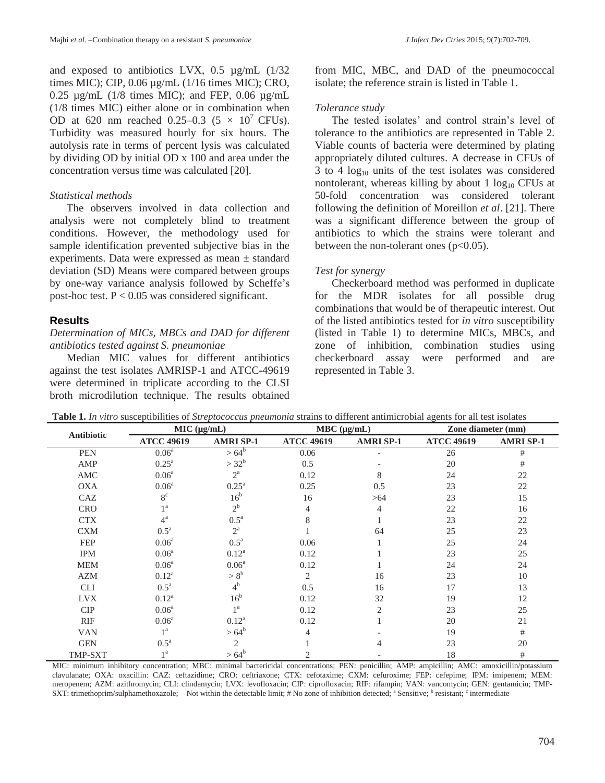and exposed to antibiotics LVX, 0.5 µg/mL (1/32 times MIC); CIP, 0.06 µg/mL (1/16 times MIC); CRO, 0.25  $\mu$ g/mL (1/8 times MIC); and FEP, 0.06  $\mu$ g/mL (1/8 times MIC) either alone or in combination when OD at 620 nm reached 0.25–0.3 (5  $\times$  10<sup>7</sup> CFUs). Turbidity was measured hourly for six hours. The autolysis rate in terms of percent lysis was calculated by dividing OD by initial OD x 100 and area under the concentration versus time was calculated [20].

### *Statistical methods*

The observers involved in data collection and analysis were not completely blind to treatment conditions. However, the methodology used for sample identification prevented subjective bias in the experiments. Data were expressed as mean ± standard deviation (SD) Means were compared between groups by one-way variance analysis followed by Scheffe's post-hoc test.  $P < 0.05$  was considered significant.

### **Results**

#### *Determination of MICs, MBCs and DAD for different antibiotics tested against S. pneumoniae*

Median MIC values for different antibiotics against the test isolates AMRISP-1 and ATCC-49619 were determined in triplicate according to the CLSI broth microdilution technique. The results obtained from MIC, MBC, and DAD of the pneumococcal isolate; the reference strain is listed in Table 1.

### *Tolerance study*

The tested isolates' and control strain's level of tolerance to the antibiotics are represented in Table 2. Viable counts of bacteria were determined by plating appropriately diluted cultures. A decrease in CFUs of 3 to 4  $log_{10}$  units of the test isolates was considered nontolerant, whereas killing by about 1  $log_{10}$  CFUs at 50-fold concentration was considered tolerant following the definition of Moreillon *et al*. [21]. There was a significant difference between the group of antibiotics to which the strains were tolerant and between the non-tolerant ones  $(p<0.05)$ .

### *Test for synergy*

Checkerboard method was performed in duplicate for the MDR isolates for all possible drug combinations that would be of therapeutic interest. Out of the listed antibiotics tested for *in vitro* susceptibility (listed in Table 1) to determine MICs, MBCs, and zone of inhibition, combination studies using checkerboard assay were performed and are represented in Table 3.

| Antibiotic     | MIC (µg/mL)        |                    | MBC (µg/mL)       |                  | Zone diameter (mm) |                  |
|----------------|--------------------|--------------------|-------------------|------------------|--------------------|------------------|
|                | <b>ATCC 49619</b>  | <b>AMRI SP-1</b>   | <b>ATCC 49619</b> | <b>AMRI SP-1</b> | <b>ATCC 49619</b>  | <b>AMRI SP-1</b> |
| <b>PEN</b>     | 0.06 <sup>a</sup>  | $>64^{b}$          | 0.06              |                  | 26                 | $\#$             |
| AMP            | $0.25^{\text{a}}$  | $>32^{b}$          | 0.5               |                  | 20                 | #                |
| AMC            | 0.06 <sup>a</sup>  | $2^{\mathrm{a}}$   | 0.12              | 8                | 24                 | 22               |
| <b>OXA</b>     | $0.06^{\rm a}$     | $0.25^{\rm a}$     | 0.25              | 0.5              | 23                 | 22               |
| CAZ            | $8^{\circ}$        | 16 <sup>b</sup>    | 16                | >64              | 23                 | 15               |
| <b>CRO</b>     | 1 <sup>a</sup>     | $2^{\rm b}$        | 4                 | $\overline{4}$   | 22                 | 16               |
| <b>CTX</b>     | $4^{\mathrm{a}}$   | $0.5^{\mathrm{a}}$ | 8                 |                  | 23                 | 22               |
| <b>CXM</b>     | $0.5^{\mathrm{a}}$ | $2^{\mathrm{a}}$   |                   | 64               | 25                 | 23               |
| FEP            | $0.06^{\rm a}$     | $0.5^{\mathrm{a}}$ | 0.06              |                  | 25                 | 24               |
| <b>IPM</b>     | 0.06 <sup>a</sup>  | $0.12^a$           | 0.12              |                  | 23                 | 25               |
| <b>MEM</b>     | 0.06 <sup>a</sup>  | $0.06^{\rm a}$     | 0.12              |                  | 24                 | 24               |
| <b>AZM</b>     | $0.12^a$           | $> 8^{\rm b}$      | 2                 | 16               | 23                 | 10               |
| <b>CLI</b>     | $0.5^{\mathrm{a}}$ | 4 <sup>b</sup>     | 0.5               | 16               | 17                 | 13               |
| <b>LVX</b>     | $0.12^a$           | 16 <sup>b</sup>    | 0.12              | 32               | 19                 | 12               |
| <b>CIP</b>     | 0.06 <sup>a</sup>  | 1 <sup>a</sup>     | 0.12              | $\overline{2}$   | 23                 | 25               |
| <b>RIF</b>     | 0.06 <sup>a</sup>  | $0.12^{\rm a}$     | 0.12              |                  | 20                 | 21               |
| <b>VAN</b>     | $1^{\mathrm{a}}$   | $>64^{b}$          | 4                 |                  | 19                 | #                |
| <b>GEN</b>     | $0.5^{\mathrm{a}}$ | $\overline{2}$     |                   | 4                | 23                 | 20               |
| <b>TMP-SXT</b> | 1 <sup>a</sup>     | $>64^{b}$          | 2                 |                  | 18                 | $\#$             |

**Table 1.** *In vitro* susceptibilities of *Streptococcus pneumonia* strains to different antimicrobial agents for all test isolates

MIC: minimum inhibitory concentration; MBC: minimal bactericidal concentrations; PEN: penicillin; AMP: ampicillin; AMC: amoxicillin/potassium clavulanate; OXA: oxacillin: CAZ: ceftazidime; CRO: ceftriaxone; CTX: cefotaxime; CXM: cefuroxime; FEP: cefepime; IPM: imipenem; MEM: meropenem; AZM: azithromycin; CLI: clindamycin; LVX: levofloxacin; CIP: ciprofloxacin; RIF: rifampin; VAN: vancomycin; GEN: gentamicin; TMP-SXT: trimethoprim/sulphamethoxazole;  $-$  Not within the detectable limit; # No zone of inhibition detected; <sup>a</sup> Sensitive; <sup>b</sup> resistant; <sup>c</sup> intermediate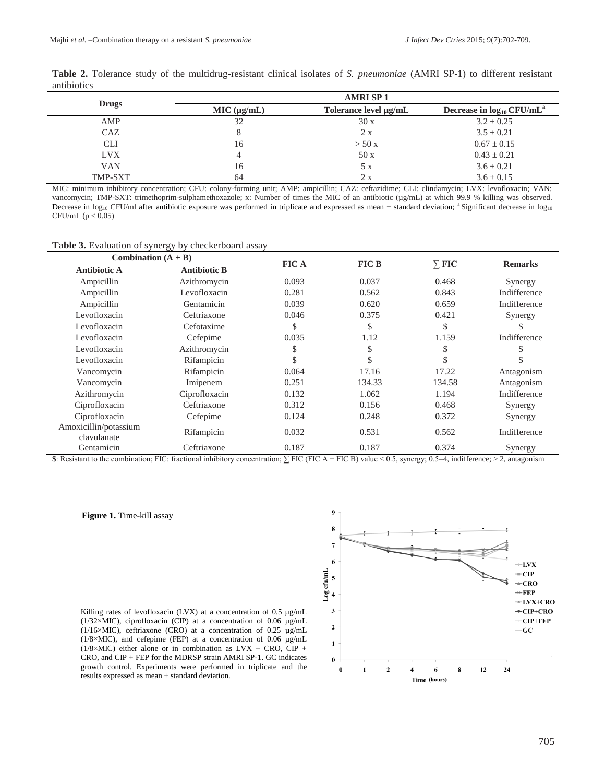|              | <b>AMRISP1</b> |                       |                                            |  |  |  |  |
|--------------|----------------|-----------------------|--------------------------------------------|--|--|--|--|
| <b>Drugs</b> | MIC (µg/mL)    | Tolerance level µg/mL | Decrease in $log_{10}$ CFU/mL <sup>a</sup> |  |  |  |  |
| AMP          | 32             | 30x                   | $3.2 \pm 0.25$                             |  |  |  |  |
| CAZ          | 8              | 2 x                   | $3.5 \pm 0.21$                             |  |  |  |  |
| <b>CLI</b>   | 16             | $>$ 50 x              | $0.67 \pm 0.15$                            |  |  |  |  |
| <b>LVX</b>   | 4              | 50x                   | $0.43 \pm 0.21$                            |  |  |  |  |
| <b>VAN</b>   | 16             | 5 x                   | $3.6 \pm 0.21$                             |  |  |  |  |
| TMP-SXT      | 64             | 2x                    | $3.6 \pm 0.15$                             |  |  |  |  |

**Table 2.** Tolerance study of the multidrug-resistant clinical isolates of *S. pneumoniae* (AMRI SP-1) to different resistant antibiotics

MIC: minimum inhibitory concentration; CFU: colony-forming unit; AMP: ampicillin; CAZ: ceftazidime; CLI: clindamycin; LVX: levofloxacin; VAN: vancomycin; TMP-SXT: trimethoprim-sulphamethoxazole; x: Number of times the MIC of an antibiotic (µg/mL) at which 99.9 % killing was observed. Decrease in log<sub>10</sub> CFU/ml after antibiotic exposure was performed in triplicate and expressed as mean  $\pm$  standard deviation; <sup>a</sup> Significant decrease in log<sub>10</sub> CFU/mL (p < 0.05)

#### **Table 3.** Evaluation of synergy by checkerboard assay

| Combination $(A + B)$                |                     | <b>FICA</b> | <b>FIC B</b> |              |                |
|--------------------------------------|---------------------|-------------|--------------|--------------|----------------|
| Antibiotic A                         | <b>Antibiotic B</b> |             |              | $\Sigma$ FIC | <b>Remarks</b> |
| Ampicillin                           | Azithromycin        | 0.093       | 0.037        | 0.468        | Synergy        |
| Ampicillin                           | Levofloxacin        | 0.281       | 0.562        | 0.843        | Indifference   |
| Ampicillin                           | Gentamicin          | 0.039       | 0.620        | 0.659        | Indifference   |
| Levofloxacin                         | Ceftriaxone         | 0.046       | 0.375        | 0.421        | Synergy        |
| Levofloxacin                         | Cefotaxime          | \$          | S            | \$           |                |
| Levofloxacin                         | Cefepime            | 0.035       | 1.12         | 1.159        | Indifference   |
| Levofloxacin                         | Azithromycin        | \$          | ъ            | \$           |                |
| Levofloxacin                         | Rifampicin          | \$          |              | \$           |                |
| Vancomycin                           | Rifampicin          | 0.064       | 17.16        | 17.22        | Antagonism     |
| Vancomycin                           | Imipenem            | 0.251       | 134.33       | 134.58       | Antagonism     |
| Azithromycin                         | Ciprofloxacin       | 0.132       | 1.062        | 1.194        | Indifference   |
| Ciprofloxacin                        | Ceftriaxone         | 0.312       | 0.156        | 0.468        | Synergy        |
| Ciprofloxacin                        | Cefepime            | 0.124       | 0.248        | 0.372        | Synergy        |
| Amoxicillin/potassium<br>clavulanate | Rifampicin          | 0.032       | 0.531        | 0.562        | Indifference   |
| Gentamicin                           | Ceftriaxone         | 0.187       | 0.187        | 0.374        | Synergy        |

**\$**: Resistant to the combination; FIC: fractional inhibitory concentration; ∑ FIC (FIC A + FIC B) value < 0.5, synergy; 0.5–4, indifference; > 2, antagonism

q

#### **Figure 1.** Time-kill assay

 $\mathbf{\hat{z}}$  $\overline{7}$  $\boldsymbol{6}$  $+LVX$  $\begin{array}{ll} \texttt{Log}\ \texttt{cfull}\ \texttt{mL} \\ \texttt{a} \end{array}$  $-CIP$  $-CRO$  $+$ FEP  $+LVX+CRO$  $\overline{\mathbf{3}}$  $-CIP+CRO$ CIP+FEP  $\overline{\mathbf{c}}$  $-cc$  $\mathbf{1}$  $\theta$  $\overline{2}$  $12$  $\mathbf{0}$  $\blacksquare$  $\overline{\mathbf{4}}$ 6 8  $24$ Time (hours)

Killing rates of levofloxacin (LVX) at a concentration of 0.5 µg/mL (1/32×MIC), ciprofloxacin (CIP) at a concentration of 0.06 µg/mL (1/16×MIC), ceftriaxone (CRO) at a concentration of 0.25  $\mu$ g/mL ( $1/8 \times$ MIC), and cefepime (FEP) at a concentration of 0.06  $\mu$ g/mL ( $1/8\times$ MIC) either alone or in combination as LVX + CRO, CIP + CRO, and CIP + FEP for the MDRSP strain AMRI SP-1. GC indicates growth control. Experiments were performed in triplicate and the results expressed as mean ± standard deviation.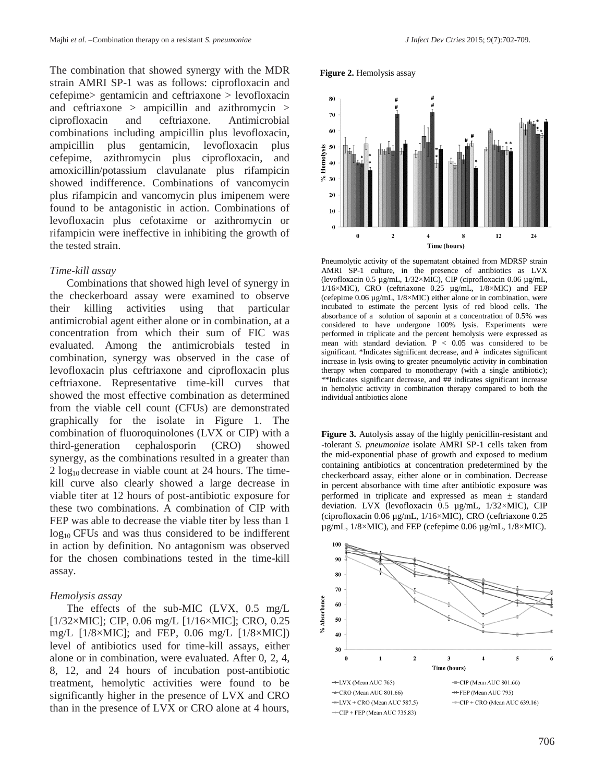The combination that showed synergy with the MDR strain AMRI SP-1 was as follows: ciprofloxacin and cefepime> gentamicin and ceftriaxone > levofloxacin and ceftriaxone > ampicillin and azithromycin > ciprofloxacin and ceftriaxone. Antimicrobial combinations including ampicillin plus levofloxacin, ampicillin plus gentamicin, levofloxacin plus cefepime, azithromycin plus ciprofloxacin, and amoxicillin/potassium clavulanate plus rifampicin showed indifference. Combinations of vancomycin plus rifampicin and vancomycin plus imipenem were found to be antagonistic in action. Combinations of levofloxacin plus cefotaxime or azithromycin or rifampicin were ineffective in inhibiting the growth of the tested strain.

#### *Time-kill assay*

Combinations that showed high level of synergy in the checkerboard assay were examined to observe their killing activities using that particular antimicrobial agent either alone or in combination, at a concentration from which their sum of FIC was evaluated. Among the antimicrobials tested in combination, synergy was observed in the case of levofloxacin plus ceftriaxone and ciprofloxacin plus ceftriaxone. Representative time-kill curves that showed the most effective combination as determined from the viable cell count (CFUs) are demonstrated graphically for the isolate in Figure 1. The combination of fluoroquinolones (LVX or CIP) with a third-generation cephalosporin (CRO) showed synergy, as the combinations resulted in a greater than 2  $\log_{10}$  decrease in viable count at 24 hours. The timekill curve also clearly showed a large decrease in viable titer at 12 hours of post-antibiotic exposure for these two combinations. A combination of CIP with FEP was able to decrease the viable titer by less than 1  $log<sub>10</sub>$  CFUs and was thus considered to be indifferent in action by definition. No antagonism was observed for the chosen combinations tested in the time-kill assay.

#### *Hemolysis assay*

The effects of the sub-MIC (LVX, 0.5 mg/L [1/32×MIC]; CIP, 0.06 mg/L [1/16×MIC]; CRO, 0.25 mg/L  $[1/8 \times MIC]$ ; and FEP, 0.06 mg/L  $[1/8 \times MIC]$ level of antibiotics used for time-kill assays, either alone or in combination, were evaluated. After 0, 2, 4, 8, 12, and 24 hours of incubation post-antibiotic treatment, hemolytic activities were found to be significantly higher in the presence of LVX and CRO than in the presence of LVX or CRO alone at 4 hours,





Pneumolytic activity of the supernatant obtained from MDRSP strain AMRI SP-1 culture, in the presence of antibiotics as LVX (levofloxacin 0.5 µg/mL, 1/32×MIC), CIP (ciprofloxacin 0.06 µg/mL, 1/16×MIC), CRO (ceftriaxone 0.25 µg/mL, 1/8×MIC) and FEP (cefepime 0.06 µg/mL, 1/8×MIC) either alone or in combination, were incubated to estimate the percent lysis of red blood cells. The absorbance of a solution of saponin at a concentration of 0.5% was considered to have undergone 100% lysis. Experiments were performed in triplicate and the percent hemolysis were expressed as mean with standard deviation. P < 0.05 was considered to be significant. \*Indicates significant decrease, and # indicates significant increase in lysis owing to greater pneumolytic activity in combination therapy when compared to monotherapy (with a single antibiotic); \*\*Indicates significant decrease, and ## indicates significant increase in hemolytic activity in combination therapy compared to both the individual antibiotics alone

**Figure 3.** Autolysis assay of the highly penicillin-resistant and -tolerant *S. pneumoniae* isolate AMRI SP-1 cells taken from the mid-exponential phase of growth and exposed to medium containing antibiotics at concentration predetermined by the checkerboard assay, either alone or in combination. Decrease in percent absorbance with time after antibiotic exposure was performed in triplicate and expressed as mean ± standard deviation. LVX (levofloxacin 0.5 µg/mL, 1/32×MIC), CIP (ciprofloxacin 0.06 µg/mL, 1/16×MIC), CRO (ceftriaxone 0.25 µg/mL, 1/8×MIC), and FEP (cefepime 0.06 µg/mL, 1/8×MIC).

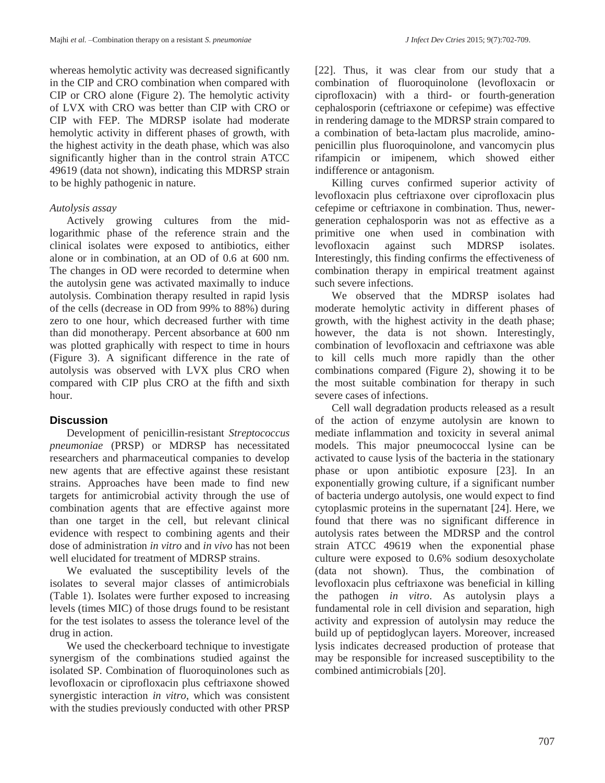whereas hemolytic activity was decreased significantly in the CIP and CRO combination when compared with CIP or CRO alone (Figure 2). The hemolytic activity of LVX with CRO was better than CIP with CRO or CIP with FEP. The MDRSP isolate had moderate hemolytic activity in different phases of growth, with the highest activity in the death phase, which was also significantly higher than in the control strain ATCC 49619 (data not shown), indicating this MDRSP strain to be highly pathogenic in nature.

### *Autolysis assay*

Actively growing cultures from the midlogarithmic phase of the reference strain and the clinical isolates were exposed to antibiotics, either alone or in combination, at an OD of 0.6 at 600 nm. The changes in OD were recorded to determine when the autolysin gene was activated maximally to induce autolysis. Combination therapy resulted in rapid lysis of the cells (decrease in OD from 99% to 88%) during zero to one hour, which decreased further with time than did monotherapy. Percent absorbance at 600 nm was plotted graphically with respect to time in hours (Figure 3). A significant difference in the rate of autolysis was observed with LVX plus CRO when compared with CIP plus CRO at the fifth and sixth hour.

### **Discussion**

Development of penicillin-resistant *Streptococcus pneumoniae* (PRSP) or MDRSP has necessitated researchers and pharmaceutical companies to develop new agents that are effective against these resistant strains. Approaches have been made to find new targets for antimicrobial activity through the use of combination agents that are effective against more than one target in the cell, but relevant clinical evidence with respect to combining agents and their dose of administration *in vitro* and *in vivo* has not been well elucidated for treatment of MDRSP strains.

We evaluated the susceptibility levels of the isolates to several major classes of antimicrobials (Table 1). Isolates were further exposed to increasing levels (times MIC) of those drugs found to be resistant for the test isolates to assess the tolerance level of the drug in action.

We used the checkerboard technique to investigate synergism of the combinations studied against the isolated SP. Combination of fluoroquinolones such as levofloxacin or ciprofloxacin plus ceftriaxone showed synergistic interaction *in vitro*, which was consistent with the studies previously conducted with other PRSP [22]. Thus, it was clear from our study that a combination of fluoroquinolone (levofloxacin or ciprofloxacin) with a third- or fourth-generation cephalosporin (ceftriaxone or cefepime) was effective in rendering damage to the MDRSP strain compared to a combination of beta-lactam plus macrolide, aminopenicillin plus fluoroquinolone, and vancomycin plus rifampicin or imipenem, which showed either indifference or antagonism.

Killing curves confirmed superior activity of levofloxacin plus ceftriaxone over ciprofloxacin plus cefepime or ceftriaxone in combination. Thus, newergeneration cephalosporin was not as effective as a primitive one when used in combination with levofloxacin against such MDRSP isolates. Interestingly, this finding confirms the effectiveness of combination therapy in empirical treatment against such severe infections.

We observed that the MDRSP isolates had moderate hemolytic activity in different phases of growth, with the highest activity in the death phase; however, the data is not shown. Interestingly, combination of levofloxacin and ceftriaxone was able to kill cells much more rapidly than the other combinations compared (Figure 2), showing it to be the most suitable combination for therapy in such severe cases of infections.

Cell wall degradation products released as a result of the action of enzyme autolysin are known to mediate inflammation and toxicity in several animal models. This major pneumococcal lysine can be activated to cause lysis of the bacteria in the stationary phase or upon antibiotic exposure [23]. In an exponentially growing culture, if a significant number of bacteria undergo autolysis, one would expect to find cytoplasmic proteins in the supernatant [24]. Here, we found that there was no significant difference in autolysis rates between the MDRSP and the control strain ATCC 49619 when the exponential phase culture were exposed to 0.6% sodium desoxycholate (data not shown). Thus, the combination of levofloxacin plus ceftriaxone was beneficial in killing the pathogen *in vitro*. As autolysin plays a fundamental role in cell division and separation, high activity and expression of autolysin may reduce the build up of peptidoglycan layers. Moreover, increased lysis indicates decreased production of protease that may be responsible for increased susceptibility to the combined antimicrobials [20].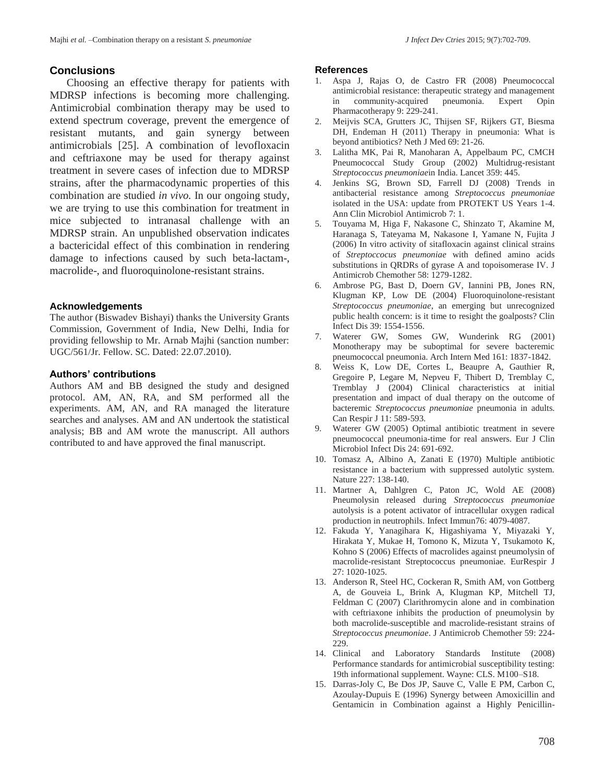Choosing an effective therapy for patients with MDRSP infections is becoming more challenging. Antimicrobial combination therapy may be used to extend spectrum coverage, prevent the emergence of resistant mutants, and gain synergy between antimicrobials [25]. A combination of levofloxacin and ceftriaxone may be used for therapy against treatment in severe cases of infection due to MDRSP strains, after the pharmacodynamic properties of this combination are studied *in vivo.* In our ongoing study, we are trying to use this combination for treatment in mice subjected to intranasal challenge with an MDRSP strain. An unpublished observation indicates a bactericidal effect of this combination in rendering damage to infections caused by such beta-lactam-, macrolide-, and fluoroquinolone-resistant strains.

#### **Acknowledgements**

The author (Biswadev Bishayi) thanks the University Grants Commission, Government of India, New Delhi, India for providing fellowship to Mr. Arnab Majhi (sanction number: UGC/561/Jr. Fellow. SC. Dated: 22.07.2010).

#### **Authors' contributions**

Authors AM and BB designed the study and designed protocol. AM, AN, RA, and SM performed all the experiments. AM, AN, and RA managed the literature searches and analyses. AM and AN undertook the statistical analysis; BB and AM wrote the manuscript. All authors contributed to and have approved the final manuscript.

#### **References**

- 1. Aspa J, Rajas O, de Castro FR (2008) Pneumococcal antimicrobial resistance: therapeutic strategy and management in community-acquired pneumonia. Expert Opin Pharmacotherapy 9: 229-241.
- 2. Meijvis SCA, Grutters JC, Thijsen SF, Rijkers GT, Biesma DH, Endeman H (2011) Therapy in pneumonia: What is beyond antibiotics? Neth J Med 69: 21-26.
- 3. Lalitha MK, Pai R, Manoharan A, Appelbaum PC, CMCH Pneumococcal Study Group (2002) Multidrug-resistant *Streptococcus pneumoniae*in India. Lancet 359: 445.
- 4. Jenkins SG, Brown SD, Farrell DJ (2008) Trends in antibacterial resistance among *Streptococcus pneumoniae* isolated in the USA: update from PROTEKT US Years 1-4. Ann Clin Microbiol Antimicrob 7: 1.
- 5. Touyama M, Higa F, Nakasone C, Shinzato T, Akamine M, Haranaga S, Tateyama M, Nakasone I, Yamane N, Fujita J (2006) In vitro activity of sitafloxacin against clinical strains of *Streptoccocus pneumoniae* with defined amino acids substitutions in QRDRs of gyrase A and topoisomerase IV. J Antimicrob Chemother 58: 1279-1282.
- 6. Ambrose PG, Bast D, Doern GV, Iannini PB, Jones RN, Klugman KP, Low DE (2004) Fluoroquinolone-resistant *Streptococcus pneumoniae*, an emerging but unrecognized public health concern: is it time to resight the goalposts? Clin Infect Dis 39: 1554-1556.
- 7. Waterer GW, Somes GW, Wunderink RG (2001) Monotherapy may be suboptimal for severe bacteremic pneumococcal pneumonia. Arch Intern Med 161: 1837-1842.
- 8. Weiss K, Low DE, Cortes L, Beaupre A, Gauthier R, Gregoire P, Legare M, Nepveu F, Thibert D, Tremblay C, Tremblay J (2004) Clinical characteristics at initial presentation and impact of dual therapy on the outcome of bacteremic *Streptococcus pneumoniae* pneumonia in adults. Can Respir J 11: 589-593.
- 9. Waterer GW (2005) Optimal antibiotic treatment in severe pneumococcal pneumonia-time for real answers. Eur J Clin Microbiol Infect Dis 24: 691-692.
- 10. Tomasz A, Albino A, Zanati E (1970) Multiple antibiotic resistance in a bacterium with suppressed autolytic system. Nature 227: 138-140.
- 11. Martner A, Dahlgren C, Paton JC, Wold AE (2008) Pneumolysin released during *Streptococcus pneumoniae* autolysis is a potent activator of intracellular oxygen radical production in neutrophils. Infect Immun76: 4079-4087.
- 12. Fakuda Y, Yanagihara K, Higashiyama Y, Miyazaki Y, Hirakata Y, Mukae H, Tomono K, Mizuta Y, Tsukamoto K, Kohno S (2006) Effects of macrolides against pneumolysin of macrolide-resistant Streptococcus pneumoniae. EurRespir J 27: 1020-1025.
- 13. Anderson R, Steel HC, Cockeran R, Smith AM, von Gottberg A, de Gouveia L, Brink A, Klugman KP, Mitchell TJ, Feldman C (2007) Clarithromycin alone and in combination with ceftriaxone inhibits the production of pneumolysin by both macrolide-susceptible and macrolide-resistant strains of *Streptococcus pneumoniae*. J Antimicrob Chemother 59: 224- 229.
- 14. Clinical and Laboratory Standards Institute (2008) Performance standards for antimicrobial susceptibility testing: 19th informational supplement. Wayne: CLS. M100–S18.
- 15. Darras-Joly C, Be Dos JP, Sauve C, Valle E PM, Carbon C, Azoulay-Dupuis E (1996) Synergy between Amoxicillin and Gentamicin in Combination against a Highly Penicillin-